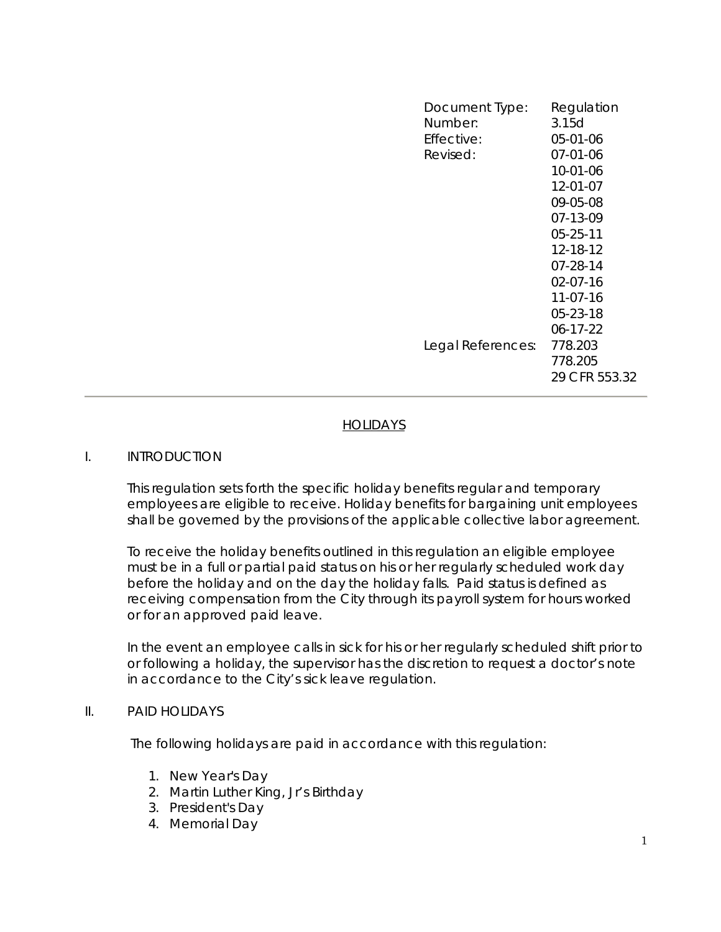| Document Type:<br>Number: | Regulation<br>3.15d                 |
|---------------------------|-------------------------------------|
| Effective:                | 05-01-06                            |
| Revised:                  | $07 - 01 - 06$                      |
|                           | 10-01-06                            |
|                           | 12-01-07                            |
|                           | 09-05-08                            |
|                           | 07-13-09                            |
|                           | $05 - 25 - 11$                      |
|                           | 12-18-12                            |
|                           | 07-28-14                            |
|                           | $02 - 07 - 16$                      |
|                           | $11-07-16$                          |
|                           | 05-23-18                            |
|                           | $06 - 17 - 22$                      |
| Legal References:         | 778.203<br>778.205<br>29 CFR 553.32 |
|                           |                                     |

# **HOLIDAYS**

#### I. INTRODUCTION

This regulation sets forth the specific holiday benefits regular and temporary employees are eligible to receive. Holiday benefits for bargaining unit employees shall be governed by the provisions of the applicable collective labor agreement.

To receive the holiday benefits outlined in this regulation an eligible employee must be in a full or partial paid status on his or her regularly scheduled work day before the holiday and on the day the holiday falls. Paid status is defined as receiving compensation from the City through its payroll system for hours worked or for an approved paid leave.

In the event an employee calls in sick for his or her regularly scheduled shift prior to or following a holiday, the supervisor has the discretion to request a doctor's note in accordance to the City's sick leave regulation.

#### II. PAID HOLIDAYS

The following holidays are paid in accordance with this regulation:

- 1. New Year's Day
- 2. Martin Luther King, Jr's Birthday
- 3. President's Day
- 4. Memorial Day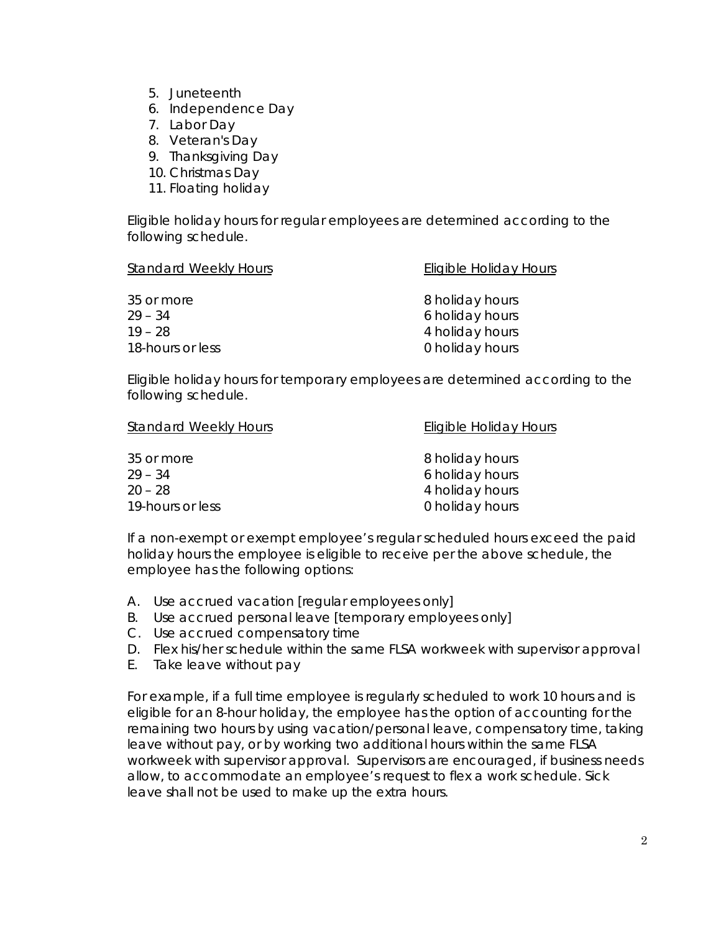- 5. Juneteenth
- 6. Independence Day
- 7. Labor Day
- 8. Veteran's Day
- 9. Thanksgiving Day
- 10. Christmas Day
- 11. Floating holiday

Eligible holiday hours for *regular* employees are determined according to the following schedule.

| <b>Standard Weekly Hours</b> | <b>Eligible Holiday Hours</b> |  |
|------------------------------|-------------------------------|--|
| 35 or more                   | 8 holiday hours               |  |
| $29 - 34$                    | 6 holiday hours               |  |
| $19 - 28$                    | 4 holiday hours               |  |
| 18-hours or less             | 0 holiday hours               |  |

Eligible holiday hours for *temporary* employees are determined according to the following schedule.

| <b>Standard Weekly Hours</b> | Eligible Holiday Hours |  |
|------------------------------|------------------------|--|
| 35 or more                   | 8 holiday hours        |  |
| $29 - 34$                    | 6 holiday hours        |  |
| $20 - 28$                    | 4 holiday hours        |  |
| 19-hours or less             | 0 holiday hours        |  |

If a non-exempt or exempt employee's regular scheduled hours exceed the paid holiday hours the employee is eligible to receive per the above schedule, the employee has the following options:

- A. Use accrued vacation [regular employees only]
- B. Use accrued personal leave [temporary employees only]
- C. Use accrued compensatory time
- D. Flex his/her schedule within the same FLSA workweek with supervisor approval
- E. Take leave without pay

For example, if a full time employee is regularly scheduled to work 10 hours and is eligible for an 8-hour holiday, the employee has the option of accounting for the remaining two hours by using vacation/personal leave, compensatory time, taking leave without pay, or by working two additional hours within the same FLSA workweek with supervisor approval. Supervisors are encouraged, if business needs allow, to accommodate an employee's request to flex a work schedule. Sick leave shall not be used to make up the extra hours.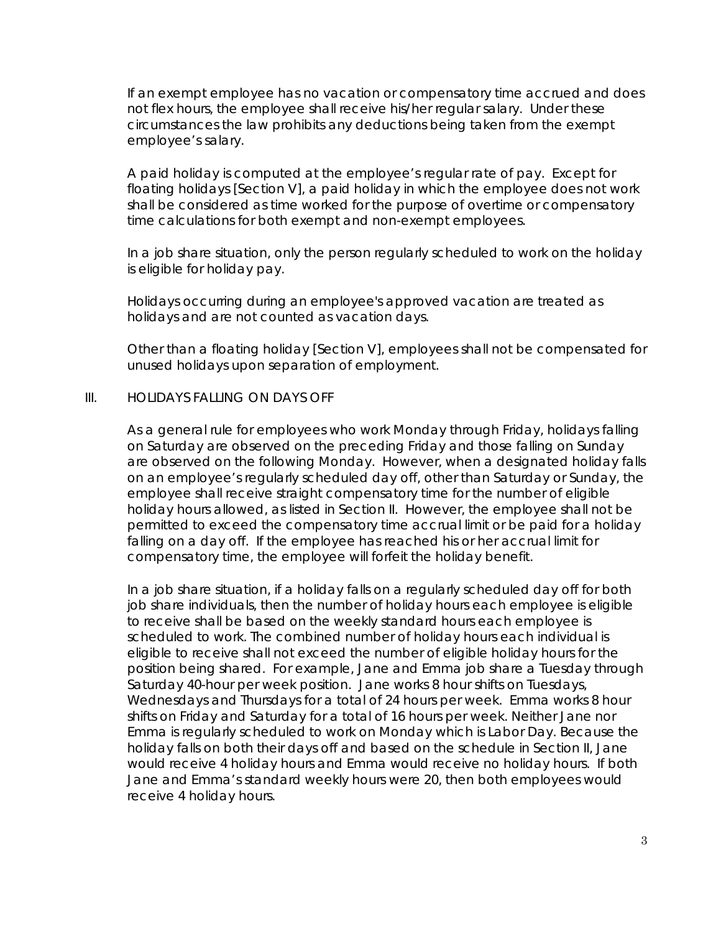If an *exempt* employee has no vacation or compensatory time accrued and does not flex hours, the employee shall receive his/her regular salary. Under these circumstances the law prohibits any deductions being taken from the exempt employee's salary.

A paid holiday is computed at the employee's regular rate of pay. Except for floating holidays [Section V], a paid holiday in which the employee does not work shall be considered as time worked for the purpose of overtime or compensatory time calculations for both exempt and non-exempt employees.

In a job share situation, only the person regularly scheduled to work on the holiday is eligible for holiday pay.

Holidays occurring during an employee's approved vacation are treated as holidays and are not counted as vacation days.

Other than a floating holiday [Section V], employees shall not be compensated for unused holidays upon separation of employment.

#### III. HOLIDAYS FALLING ON DAYS OFF

As a general rule for employees who work Monday through Friday, holidays falling on Saturday are observed on the preceding Friday and those falling on Sunday are observed on the following Monday. However, when a designated holiday falls on an employee's regularly scheduled day off, other than Saturday or Sunday, the employee shall receive straight compensatory time for the number of eligible holiday hours allowed, as listed in Section II. However, the employee shall not be permitted to exceed the compensatory time accrual limit or be paid for a holiday falling on a day off. If the employee has reached his or her accrual limit for compensatory time, the employee will forfeit the holiday benefit.

In a job share situation, if a holiday falls on a regularly scheduled day off for both job share individuals, then the number of holiday hours each employee is eligible to receive shall be based on the weekly standard hours each employee is scheduled to work. The combined number of holiday hours each individual is eligible to receive shall not exceed the number of eligible holiday hours for the position being shared. For example, Jane and Emma job share a Tuesday through Saturday 40-hour per week position. Jane works 8 hour shifts on Tuesdays, Wednesdays and Thursdays for a total of 24 hours per week. Emma works 8 hour shifts on Friday and Saturday for a total of 16 hours per week. Neither Jane nor Emma is regularly scheduled to work on Monday which is Labor Day. Because the holiday falls on both their days off and based on the schedule in Section II, Jane would receive 4 holiday hours and Emma would receive no holiday hours. If both Jane and Emma's standard weekly hours were 20, then both employees would receive 4 holiday hours.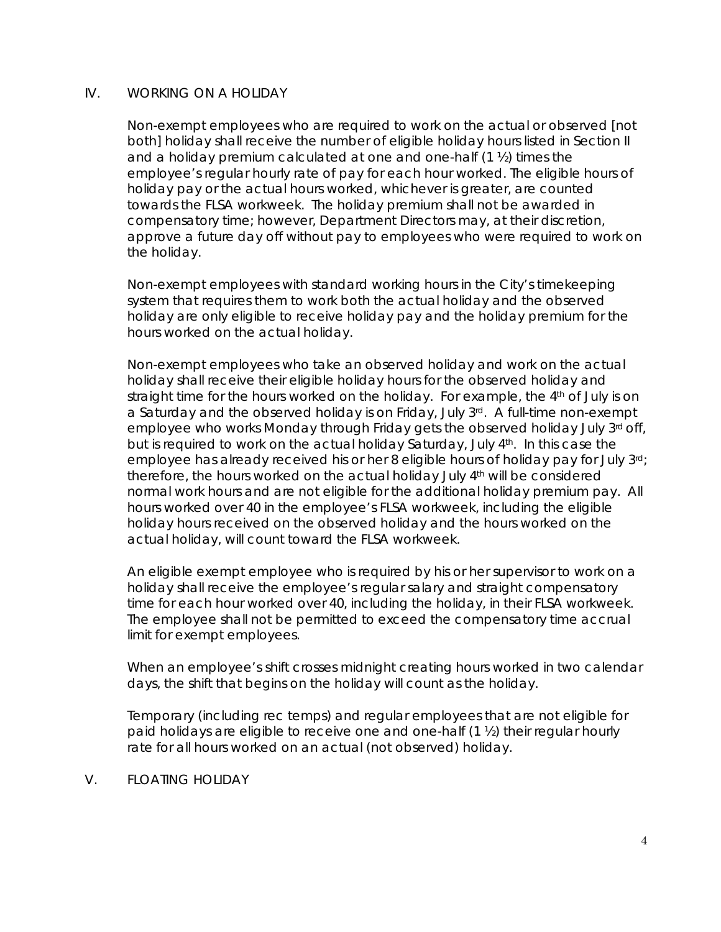# IV. WORKING ON A HOLIDAY

Non-exempt employees who are required to work on the actual *or* observed [not both] holiday shall receive the number of eligible holiday hours listed in Section II and a holiday premium calculated at one and one-half  $(1 \frac{1}{2})$  times the employee's regular hourly rate of pay for each hour worked. The eligible hours of holiday pay or the actual hours worked, whichever is greater, are counted towards the FLSA workweek. The holiday premium shall not be awarded in compensatory time; however, Department Directors may, at their discretion, approve a future day off without pay to employees who were required to work on the holiday.

Non-exempt employees with standard working hours in the City's timekeeping system that requires them to work both the actual holiday and the observed holiday are only eligible to receive holiday pay and the holiday premium for the hours worked on the actual holiday.

Non-exempt employees who take an observed holiday and work on the actual holiday shall receive their eligible holiday hours for the observed holiday and straight time for the hours worked on the holiday. For example, the 4<sup>th</sup> of July is on a Saturday and the observed holiday is on Friday, July  $3^{rd}$ . A full-time non-exempt employee who works Monday through Friday gets the observed holiday July 3<sup>rd</sup> off, but is required to work on the actual holiday Saturday, July 4th. In this case the employee has already received his or her 8 eligible hours of holiday pay for July 3rd; therefore, the hours worked on the actual holiday July 4th will be considered normal work hours and are not eligible for the additional holiday premium pay. All hours worked over 40 in the employee's FLSA workweek, including the eligible holiday hours received on the observed holiday and the hours worked on the actual holiday, will count toward the FLSA workweek.

An eligible exempt employee who is required by his or her supervisor to work on a holiday shall receive the employee's regular salary and straight compensatory time for each hour worked over 40, including the holiday, in their FLSA workweek. The employee shall not be permitted to exceed the compensatory time accrual limit for exempt employees.

When an employee's shift crosses midnight creating hours worked in two calendar days, the shift that begins on the holiday will count as the holiday.

Temporary (including rec temps) and regular employees that are not eligible for paid holidays are eligible to receive one and one-half (1 ½) their regular hourly rate for all hours worked on an actual (not observed) holiday.

# V. FLOATING HOLIDAY